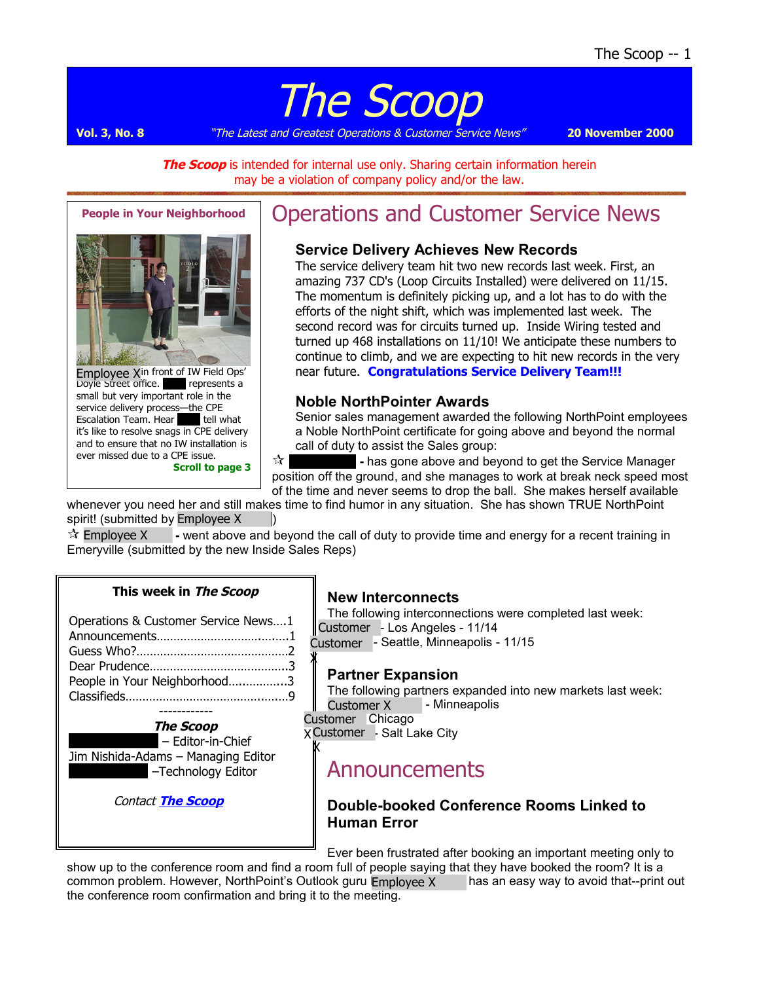# The Scoop

**Vol. 3, No. 8** "The Latest and Greatest Operations & Customer Service News" **20 November 2000**

**The Scoop** is intended for internal use only. Sharing certain information herein may be a violation of company policy and/or the law.



**People in Your Neighborhood**

Employee X<sup>in front of IW Field Ops'</sup> Doyle Street office. **All represents a** small but very important role in the service delivery process—the CPE Escalation Team. Hear **Alicia tell what** it's like to resolve snags in CPE delivery and to ensure that no IW installation is ever missed due to a CPE issue. **Scroll to page 3**

# Operations and Customer Service News

#### **Service Delivery Achieves New Records**

The service delivery team hit two new records last week. First, an amazing 737 CD's (Loop Circuits Installed) were delivered on 11/15. The momentum is definitely picking up, and a lot has to do with the efforts of the night shift, which was implemented last week. The second record was for circuits turned up. Inside Wiring tested and turned up 468 installations on 11/10! We anticipate these numbers to continue to climb, and we are expecting to hit new records in the very near future. **Congratulations Service Delivery Team!!!**

#### **Noble NorthPointer Awards**

Senior sales management awarded the following NorthPoint employees a Noble NorthPoint certificate for going above and beyond the normal call of duty to assist the Sales group:

 $\sqrt[k]{ }$  - has gone above and beyond to get the Service Manager position off the ground, and she manages to work at break neck speed most of the time and never seems to drop the ball. She makes herself available

whenever you need her and still makes time to find humor in any situation. She has shown TRUE NorthPoint spirit! (submitted by Employee Xwang)

 **Christian Long -** went above and beyond the call of duty to provide time and energy for a recent training in Emeryville (submitted by the new Inside Sales Reps)  $\mathbf{\hat{x}}$  Employee X

#### **This week in The Scoop**

| Operations & Customer Service News1 |  |
|-------------------------------------|--|
|                                     |  |
|                                     |  |
|                                     |  |
| People in Your Neighborhood3        |  |
|                                     |  |
|                                     |  |

**The Scoop** – Editor-in-Chief Jim Nishida-Adams – Managing Editor -Technology Editor

Contact **[The Scoop](mailto:opscommunications@northpoint.net)**

#### **New Interconnects**

The following interconnections were completed last week: Customer - Los Angeles - 11/14 Customer - Seattle, Minneapolis - 11/15

#### **Partner Expansion**

The following partners expanded into new markets last week: **- Minneapolis** Customer X

Customer Chicago

X

X Customer - Salt Lake City X

### Announcements

#### **Double-booked Conference Rooms Linked to Human Error**

Ever been frustrated after booking an important meeting only to

show up to the conference room and find a room full of people saying that they have booked the room? It is a common problem. However, NorthPoint's Outlook guru Employee X has an easy way to avoid that--print out the conference room confirmation and bring it to the meeting.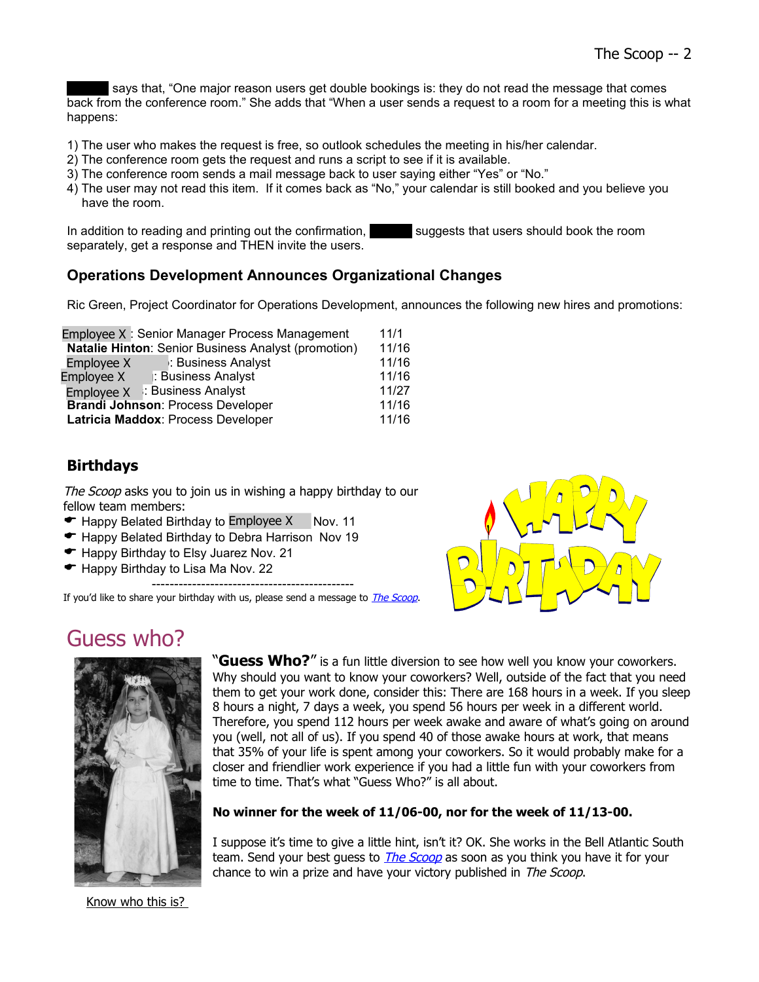says that, "One major reason users get double bookings is: they do not read the message that comes back from the conference room." She adds that "When a user sends a request to a room for a meeting this is what happens:

- 1) The user who makes the request is free, so outlook schedules the meeting in his/her calendar.
- 2) The conference room gets the request and runs a script to see if it is available.
- 3) The conference room sends a mail message back to user saying either "Yes" or "No."
- 4) The user may not read this item. If it comes back as "No," your calendar is still booked and you believe you have the room.

In addition to reading and printing out the confirmation, Fund suggests that users should book the room separately, get a response and THEN invite the users.

#### **Operations Development Announces Organizational Changes**

Ric Green, Project Coordinator for Operations Development, announces the following new hires and promotions:

|                                                                                | Employee X: Senior Manager Process Management              | 11/1  |
|--------------------------------------------------------------------------------|------------------------------------------------------------|-------|
|                                                                                | <b>Natalie Hinton: Senior Business Analyst (promotion)</b> | 11/16 |
| Employee X                                                                     | : Business Analyst                                         | 11/16 |
| Employee X                                                                     | : Business Analyst                                         | 11/16 |
|                                                                                | Employee X : Business Analyst                              | 11/27 |
| <b>Brandi Johnson: Process Developer</b><br>Latricia Maddox: Process Developer |                                                            | 11/16 |
|                                                                                |                                                            | 11/16 |
|                                                                                |                                                            |       |

#### **Birthdays**

The Scoop asks you to join us in wishing a happy birthday to our fellow team members:

- $\blacktriangleright$  Happy Belated Birthday to Employee X Nov. 11
- Happy Belated Birthday to Debra Harrison Nov 19
- ← Happy Birthday to Elsy Juarez Nov. 21
- $\blacktriangleright$  Happy Birthday to Lisa Ma Nov. 22

---------------------------------------------

If you'd like to share your birthday with us, please send a message to *[The Scoop](mailto:opscommunications@northpoint.net)*.

## Guess who?



"**Guess Who?**" is a fun little diversion to see how well you know your coworkers. Why should you want to know your coworkers? Well, outside of the fact that you need them to get your work done, consider this: There are 168 hours in a week. If you sleep 8 hours a night, 7 days a week, you spend 56 hours per week in a different world. Therefore, you spend 112 hours per week awake and aware of what's going on around you (well, not all of us). If you spend 40 of those awake hours at work, that means that 35% of your life is spent among your coworkers. So it would probably make for a closer and friendlier work experience if you had a little fun with your coworkers from time to time. That's what "Guess Who?" is all about.

#### **No winner for the week of 11/06-00, nor for the week of 11/13-00.**

I suppose it's time to give a little hint, isn't it? OK. She works in the Bell Atlantic South team. Send your best guess to *[The Scoop](mailto:opscommunications@northpoint.net)* as soon as you think you have it for your chance to win a prize and have your victory published in The Scoop.

Know who this is?

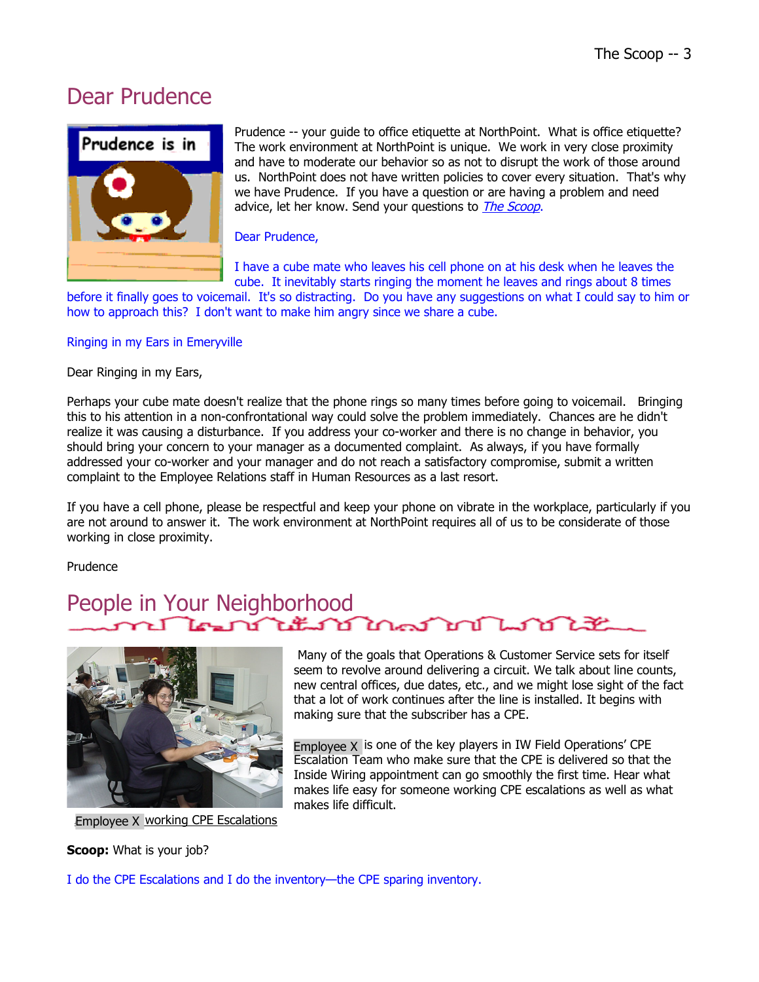### Dear Prudence



Prudence -- your guide to office etiquette at NorthPoint. What is office etiquette? The work environment at NorthPoint is unique. We work in very close proximity and have to moderate our behavior so as not to disrupt the work of those around us. NorthPoint does not have written policies to cover every situation. That's why we have Prudence. If you have a question or are having a problem and need advice, let her know. Send your questions to *[The Scoop](mailto:opscommunications@northpoint.net)*.

#### Dear Prudence,

I have a cube mate who leaves his cell phone on at his desk when he leaves the cube. It inevitably starts ringing the moment he leaves and rings about 8 times

before it finally goes to voicemail. It's so distracting. Do you have any suggestions on what I could say to him or how to approach this? I don't want to make him angry since we share a cube.

#### Ringing in my Ears in Emeryville

Dear Ringing in my Ears,

Perhaps your cube mate doesn't realize that the phone rings so many times before going to voicemail. Bringing this to his attention in a non-confrontational way could solve the problem immediately. Chances are he didn't realize it was causing a disturbance. If you address your co-worker and there is no change in behavior, you should bring your concern to your manager as a documented complaint. As always, if you have formally addressed your co-worker and your manager and do not reach a satisfactory compromise, submit a written complaint to the Employee Relations staff in Human Resources as a last resort.

If you have a cell phone, please be respectful and keep your phone on vibrate in the workplace, particularly if you are not around to answer it. The work environment at NorthPoint requires all of us to be considerate of those working in close proximity.

Prudence

#### People in Your Neighborhood كحصان كطائف كالمحارب ንድ



Employee X working CPE Escalations

**Scoop:** What is your job?

 Many of the goals that Operations & Customer Service sets for itself seem to revolve around delivering a circuit. We talk about line counts, new central offices, due dates, etc., and we might lose sight of the fact that a lot of work continues after the line is installed. It begins with making sure that the subscriber has a CPE.

Employee  $X$  is one of the key players in IW Field Operations' CPE Escalation Team who make sure that the CPE is delivered so that the Inside Wiring appointment can go smoothly the first time. Hear what makes life easy for someone working CPE escalations as well as what makes life difficult.

I do the CPE Escalations and I do the inventory—the CPE sparing inventory.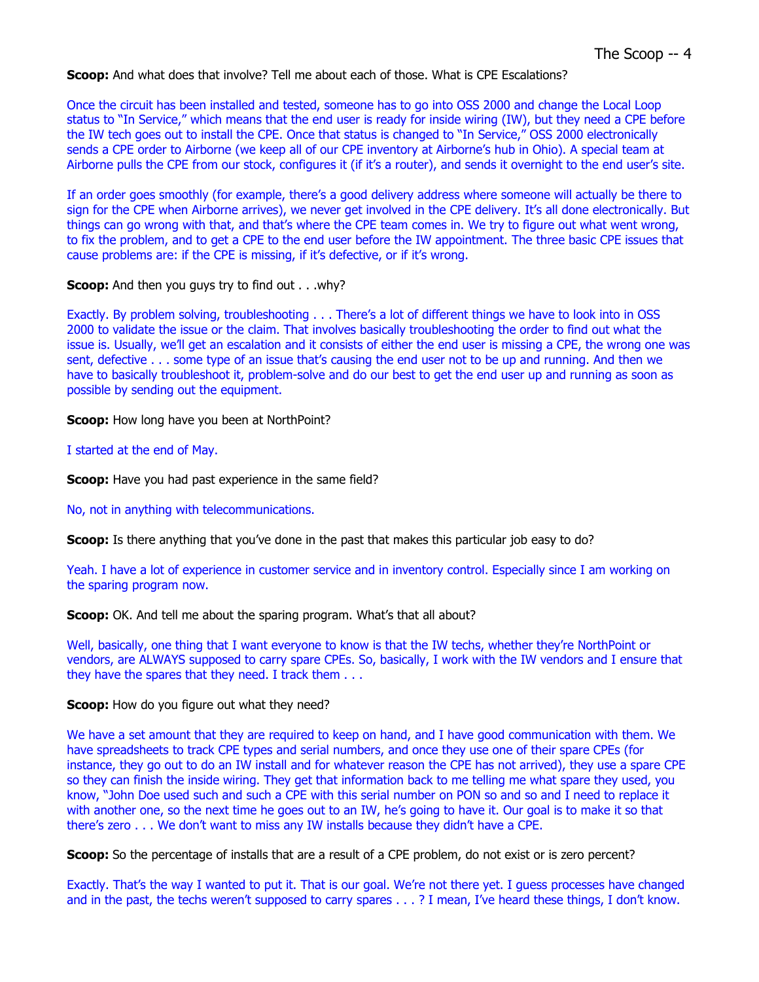**Scoop:** And what does that involve? Tell me about each of those. What is CPE Escalations?

Once the circuit has been installed and tested, someone has to go into OSS 2000 and change the Local Loop status to "In Service," which means that the end user is ready for inside wiring (IW), but they need a CPE before the IW tech goes out to install the CPE. Once that status is changed to "In Service," OSS 2000 electronically sends a CPE order to Airborne (we keep all of our CPE inventory at Airborne's hub in Ohio). A special team at Airborne pulls the CPE from our stock, configures it (if it's a router), and sends it overnight to the end user's site.

If an order goes smoothly (for example, there's a good delivery address where someone will actually be there to sign for the CPE when Airborne arrives), we never get involved in the CPE delivery. It's all done electronically. But things can go wrong with that, and that's where the CPE team comes in. We try to figure out what went wrong, to fix the problem, and to get a CPE to the end user before the IW appointment. The three basic CPE issues that cause problems are: if the CPE is missing, if it's defective, or if it's wrong.

**Scoop:** And then you guys try to find out . . . why?

Exactly. By problem solving, troubleshooting . . . There's a lot of different things we have to look into in OSS 2000 to validate the issue or the claim. That involves basically troubleshooting the order to find out what the issue is. Usually, we'll get an escalation and it consists of either the end user is missing a CPE, the wrong one was sent, defective . . . some type of an issue that's causing the end user not to be up and running. And then we have to basically troubleshoot it, problem-solve and do our best to get the end user up and running as soon as possible by sending out the equipment.

**Scoop:** How long have you been at NorthPoint?

I started at the end of May.

**Scoop:** Have you had past experience in the same field?

No, not in anything with telecommunications.

**Scoop:** Is there anything that you've done in the past that makes this particular job easy to do?

Yeah. I have a lot of experience in customer service and in inventory control. Especially since I am working on the sparing program now.

**Scoop:** OK. And tell me about the sparing program. What's that all about?

Well, basically, one thing that I want everyone to know is that the IW techs, whether they're NorthPoint or vendors, are ALWAYS supposed to carry spare CPEs. So, basically, I work with the IW vendors and I ensure that they have the spares that they need. I track them . . .

#### **Scoop:** How do you figure out what they need?

We have a set amount that they are required to keep on hand, and I have good communication with them. We have spreadsheets to track CPE types and serial numbers, and once they use one of their spare CPEs (for instance, they go out to do an IW install and for whatever reason the CPE has not arrived), they use a spare CPE so they can finish the inside wiring. They get that information back to me telling me what spare they used, you know, "John Doe used such and such a CPE with this serial number on PON so and so and I need to replace it with another one, so the next time he goes out to an IW, he's going to have it. Our goal is to make it so that there's zero . . . We don't want to miss any IW installs because they didn't have a CPE.

**Scoop:** So the percentage of installs that are a result of a CPE problem, do not exist or is zero percent?

Exactly. That's the way I wanted to put it. That is our goal. We're not there yet. I guess processes have changed and in the past, the techs weren't supposed to carry spares . . . ? I mean, I've heard these things, I don't know.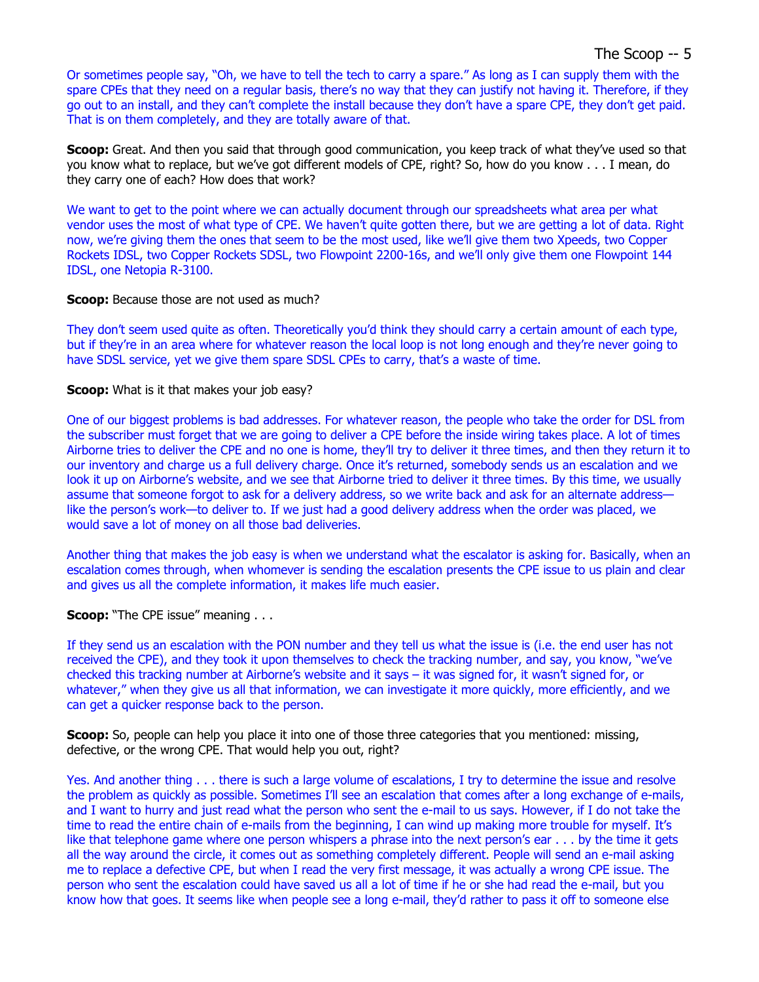#### The Scoop -- 5

Or sometimes people say, "Oh, we have to tell the tech to carry a spare." As long as I can supply them with the spare CPEs that they need on a regular basis, there's no way that they can justify not having it. Therefore, if they go out to an install, and they can't complete the install because they don't have a spare CPE, they don't get paid. That is on them completely, and they are totally aware of that.

**Scoop:** Great. And then you said that through good communication, you keep track of what they've used so that you know what to replace, but we've got different models of CPE, right? So, how do you know . . . I mean, do they carry one of each? How does that work?

We want to get to the point where we can actually document through our spreadsheets what area per what vendor uses the most of what type of CPE. We haven't quite gotten there, but we are getting a lot of data. Right now, we're giving them the ones that seem to be the most used, like we'll give them two Xpeeds, two Copper Rockets IDSL, two Copper Rockets SDSL, two Flowpoint 2200-16s, and we'll only give them one Flowpoint 144 IDSL, one Netopia R-3100.

#### **Scoop:** Because those are not used as much?

They don't seem used quite as often. Theoretically you'd think they should carry a certain amount of each type, but if they're in an area where for whatever reason the local loop is not long enough and they're never going to have SDSL service, yet we give them spare SDSL CPEs to carry, that's a waste of time.

#### **Scoop:** What is it that makes your job easy?

One of our biggest problems is bad addresses. For whatever reason, the people who take the order for DSL from the subscriber must forget that we are going to deliver a CPE before the inside wiring takes place. A lot of times Airborne tries to deliver the CPE and no one is home, they'll try to deliver it three times, and then they return it to our inventory and charge us a full delivery charge. Once it's returned, somebody sends us an escalation and we look it up on Airborne's website, and we see that Airborne tried to deliver it three times. By this time, we usually assume that someone forgot to ask for a delivery address, so we write back and ask for an alternate address like the person's work—to deliver to. If we just had a good delivery address when the order was placed, we would save a lot of money on all those bad deliveries.

Another thing that makes the job easy is when we understand what the escalator is asking for. Basically, when an escalation comes through, when whomever is sending the escalation presents the CPE issue to us plain and clear and gives us all the complete information, it makes life much easier.

**Scoop:** "The CPE issue" meaning . . .

If they send us an escalation with the PON number and they tell us what the issue is (i.e. the end user has not received the CPE), and they took it upon themselves to check the tracking number, and say, you know, "we've checked this tracking number at Airborne's website and it says – it was signed for, it wasn't signed for, or whatever," when they give us all that information, we can investigate it more quickly, more efficiently, and we can get a quicker response back to the person.

**Scoop:** So, people can help you place it into one of those three categories that you mentioned: missing, defective, or the wrong CPE. That would help you out, right?

Yes. And another thing . . . there is such a large volume of escalations, I try to determine the issue and resolve the problem as quickly as possible. Sometimes I'll see an escalation that comes after a long exchange of e-mails, and I want to hurry and just read what the person who sent the e-mail to us says. However, if I do not take the time to read the entire chain of e-mails from the beginning, I can wind up making more trouble for myself. It's like that telephone game where one person whispers a phrase into the next person's ear . . . by the time it gets all the way around the circle, it comes out as something completely different. People will send an e-mail asking me to replace a defective CPE, but when I read the very first message, it was actually a wrong CPE issue. The person who sent the escalation could have saved us all a lot of time if he or she had read the e-mail, but you know how that goes. It seems like when people see a long e-mail, they'd rather to pass it off to someone else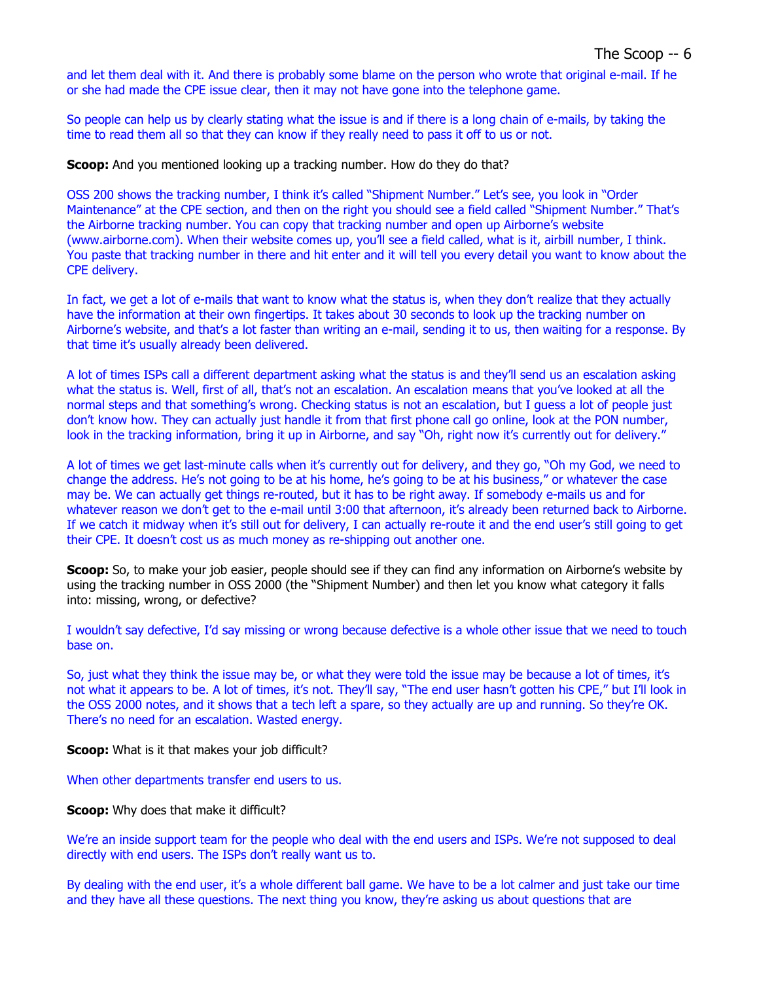and let them deal with it. And there is probably some blame on the person who wrote that original e-mail. If he or she had made the CPE issue clear, then it may not have gone into the telephone game.

So people can help us by clearly stating what the issue is and if there is a long chain of e-mails, by taking the time to read them all so that they can know if they really need to pass it off to us or not.

**Scoop:** And you mentioned looking up a tracking number. How do they do that?

OSS 200 shows the tracking number, I think it's called "Shipment Number." Let's see, you look in "Order Maintenance" at the CPE section, and then on the right you should see a field called "Shipment Number." That's the Airborne tracking number. You can copy that tracking number and open up Airborne's website (www.airborne.com). When their website comes up, you'll see a field called, what is it, airbill number, I think. You paste that tracking number in there and hit enter and it will tell you every detail you want to know about the CPE delivery.

In fact, we get a lot of e-mails that want to know what the status is, when they don't realize that they actually have the information at their own fingertips. It takes about 30 seconds to look up the tracking number on Airborne's website, and that's a lot faster than writing an e-mail, sending it to us, then waiting for a response. By that time it's usually already been delivered.

A lot of times ISPs call a different department asking what the status is and they'll send us an escalation asking what the status is. Well, first of all, that's not an escalation. An escalation means that you've looked at all the normal steps and that something's wrong. Checking status is not an escalation, but I guess a lot of people just don't know how. They can actually just handle it from that first phone call go online, look at the PON number, look in the tracking information, bring it up in Airborne, and say "Oh, right now it's currently out for delivery."

A lot of times we get last-minute calls when it's currently out for delivery, and they go, "Oh my God, we need to change the address. He's not going to be at his home, he's going to be at his business," or whatever the case may be. We can actually get things re-routed, but it has to be right away. If somebody e-mails us and for whatever reason we don't get to the e-mail until 3:00 that afternoon, it's already been returned back to Airborne. If we catch it midway when it's still out for delivery, I can actually re-route it and the end user's still going to get their CPE. It doesn't cost us as much money as re-shipping out another one.

**Scoop:** So, to make your job easier, people should see if they can find any information on Airborne's website by using the tracking number in OSS 2000 (the "Shipment Number) and then let you know what category it falls into: missing, wrong, or defective?

I wouldn't say defective, I'd say missing or wrong because defective is a whole other issue that we need to touch base on.

So, just what they think the issue may be, or what they were told the issue may be because a lot of times, it's not what it appears to be. A lot of times, it's not. They'll say, "The end user hasn't gotten his CPE," but I'll look in the OSS 2000 notes, and it shows that a tech left a spare, so they actually are up and running. So they're OK. There's no need for an escalation. Wasted energy.

**Scoop:** What is it that makes your job difficult?

When other departments transfer end users to us.

**Scoop:** Why does that make it difficult?

We're an inside support team for the people who deal with the end users and ISPs. We're not supposed to deal directly with end users. The ISPs don't really want us to.

By dealing with the end user, it's a whole different ball game. We have to be a lot calmer and just take our time and they have all these questions. The next thing you know, they're asking us about questions that are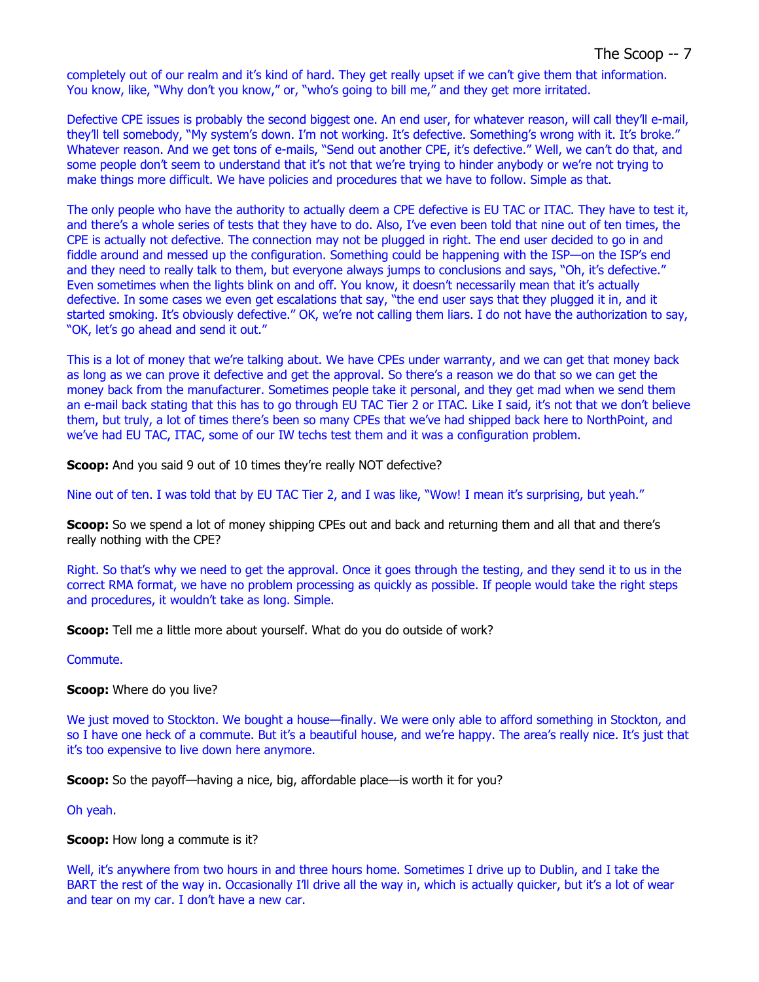completely out of our realm and it's kind of hard. They get really upset if we can't give them that information. You know, like, "Why don't you know," or, "who's going to bill me," and they get more irritated.

Defective CPE issues is probably the second biggest one. An end user, for whatever reason, will call they'll e-mail, they'll tell somebody, "My system's down. I'm not working. It's defective. Something's wrong with it. It's broke." Whatever reason. And we get tons of e-mails, "Send out another CPE, it's defective." Well, we can't do that, and some people don't seem to understand that it's not that we're trying to hinder anybody or we're not trying to make things more difficult. We have policies and procedures that we have to follow. Simple as that.

The only people who have the authority to actually deem a CPE defective is EU TAC or ITAC. They have to test it, and there's a whole series of tests that they have to do. Also, I've even been told that nine out of ten times, the CPE is actually not defective. The connection may not be plugged in right. The end user decided to go in and fiddle around and messed up the configuration. Something could be happening with the ISP—on the ISP's end and they need to really talk to them, but everyone always jumps to conclusions and says, "Oh, it's defective." Even sometimes when the lights blink on and off. You know, it doesn't necessarily mean that it's actually defective. In some cases we even get escalations that say, "the end user says that they plugged it in, and it started smoking. It's obviously defective." OK, we're not calling them liars. I do not have the authorization to say, "OK, let's go ahead and send it out."

This is a lot of money that we're talking about. We have CPEs under warranty, and we can get that money back as long as we can prove it defective and get the approval. So there's a reason we do that so we can get the money back from the manufacturer. Sometimes people take it personal, and they get mad when we send them an e-mail back stating that this has to go through EU TAC Tier 2 or ITAC. Like I said, it's not that we don't believe them, but truly, a lot of times there's been so many CPEs that we've had shipped back here to NorthPoint, and we've had EU TAC, ITAC, some of our IW techs test them and it was a configuration problem.

**Scoop:** And you said 9 out of 10 times they're really NOT defective?

Nine out of ten. I was told that by EU TAC Tier 2, and I was like, "Wow! I mean it's surprising, but yeah."

**Scoop:** So we spend a lot of money shipping CPEs out and back and returning them and all that and there's really nothing with the CPE?

Right. So that's why we need to get the approval. Once it goes through the testing, and they send it to us in the correct RMA format, we have no problem processing as quickly as possible. If people would take the right steps and procedures, it wouldn't take as long. Simple.

**Scoop:** Tell me a little more about yourself. What do you do outside of work?

Commute.

**Scoop:** Where do you live?

We just moved to Stockton. We bought a house—finally. We were only able to afford something in Stockton, and so I have one heck of a commute. But it's a beautiful house, and we're happy. The area's really nice. It's just that it's too expensive to live down here anymore.

**Scoop:** So the payoff—having a nice, big, affordable place—is worth it for you?

Oh yeah.

**Scoop:** How long a commute is it?

Well, it's anywhere from two hours in and three hours home. Sometimes I drive up to Dublin, and I take the BART the rest of the way in. Occasionally I'll drive all the way in, which is actually quicker, but it's a lot of wear and tear on my car. I don't have a new car.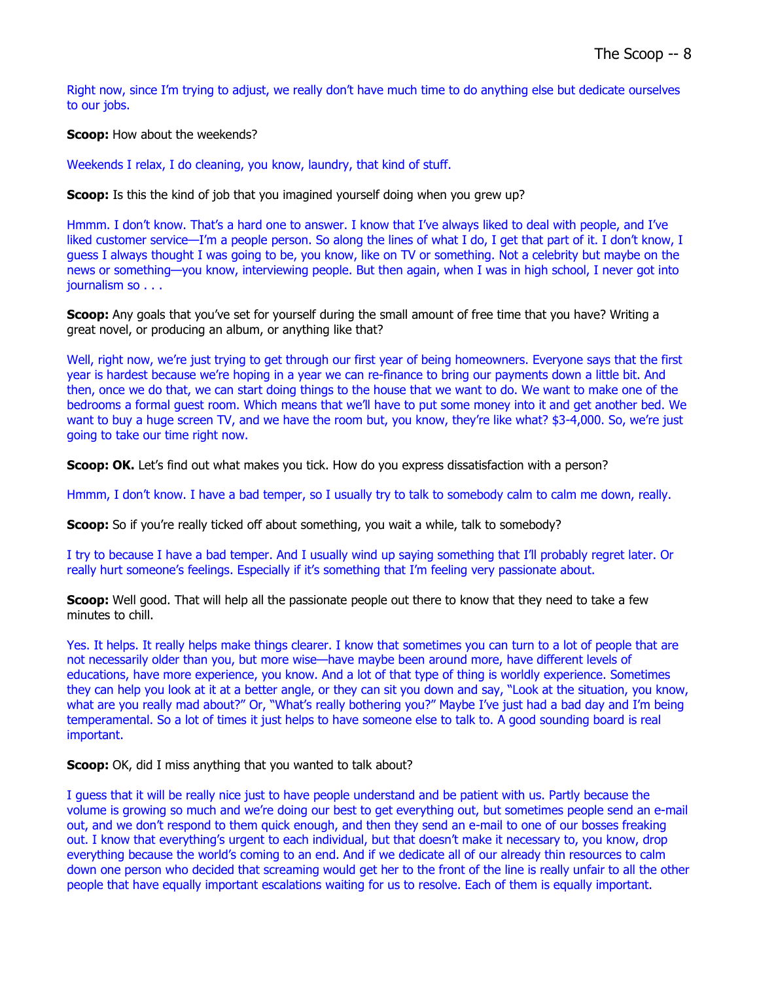Right now, since I'm trying to adjust, we really don't have much time to do anything else but dedicate ourselves to our jobs.

**Scoop:** How about the weekends?

Weekends I relax, I do cleaning, you know, laundry, that kind of stuff.

**Scoop:** Is this the kind of job that you imagined yourself doing when you grew up?

Hmmm. I don't know. That's a hard one to answer. I know that I've always liked to deal with people, and I've liked customer service—I'm a people person. So along the lines of what I do, I get that part of it. I don't know, I guess I always thought I was going to be, you know, like on TV or something. Not a celebrity but maybe on the news or something—you know, interviewing people. But then again, when I was in high school, I never got into journalism so . . .

**Scoop:** Any goals that you've set for yourself during the small amount of free time that you have? Writing a great novel, or producing an album, or anything like that?

Well, right now, we're just trying to get through our first year of being homeowners. Everyone says that the first year is hardest because we're hoping in a year we can re-finance to bring our payments down a little bit. And then, once we do that, we can start doing things to the house that we want to do. We want to make one of the bedrooms a formal guest room. Which means that we'll have to put some money into it and get another bed. We want to buy a huge screen TV, and we have the room but, you know, they're like what? \$3-4,000. So, we're just going to take our time right now.

**Scoop: OK.** Let's find out what makes you tick. How do you express dissatisfaction with a person?

Hmmm, I don't know. I have a bad temper, so I usually try to talk to somebody calm to calm me down, really.

**Scoop:** So if you're really ticked off about something, you wait a while, talk to somebody?

I try to because I have a bad temper. And I usually wind up saying something that I'll probably regret later. Or really hurt someone's feelings. Especially if it's something that I'm feeling very passionate about.

**Scoop:** Well good. That will help all the passionate people out there to know that they need to take a few minutes to chill.

Yes. It helps. It really helps make things clearer. I know that sometimes you can turn to a lot of people that are not necessarily older than you, but more wise—have maybe been around more, have different levels of educations, have more experience, you know. And a lot of that type of thing is worldly experience. Sometimes they can help you look at it at a better angle, or they can sit you down and say, "Look at the situation, you know, what are you really mad about?" Or, "What's really bothering you?" Maybe I've just had a bad day and I'm being temperamental. So a lot of times it just helps to have someone else to talk to. A good sounding board is real important.

**Scoop:** OK, did I miss anything that you wanted to talk about?

I guess that it will be really nice just to have people understand and be patient with us. Partly because the volume is growing so much and we're doing our best to get everything out, but sometimes people send an e-mail out, and we don't respond to them quick enough, and then they send an e-mail to one of our bosses freaking out. I know that everything's urgent to each individual, but that doesn't make it necessary to, you know, drop everything because the world's coming to an end. And if we dedicate all of our already thin resources to calm down one person who decided that screaming would get her to the front of the line is really unfair to all the other people that have equally important escalations waiting for us to resolve. Each of them is equally important.